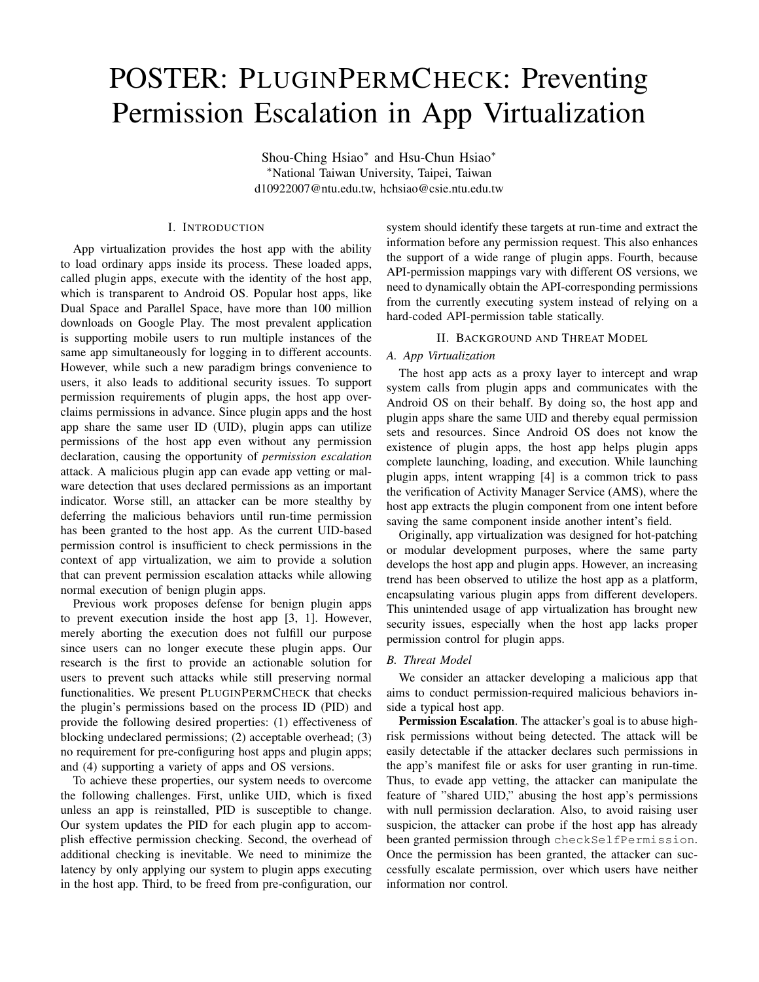# POSTER: PLUGINPERMCHECK: Preventing Permission Escalation in App Virtualization

Shou-Ching Hsiao<sup>\*</sup> and Hsu-Chun Hsiao<sup>\*</sup> <sup>∗</sup>National Taiwan University, Taipei, Taiwan d10922007@ntu.edu.tw, hchsiao@csie.ntu.edu.tw

# I. INTRODUCTION

App virtualization provides the host app with the ability to load ordinary apps inside its process. These loaded apps, called plugin apps, execute with the identity of the host app, which is transparent to Android OS. Popular host apps, like Dual Space and Parallel Space, have more than 100 million downloads on Google Play. The most prevalent application is supporting mobile users to run multiple instances of the same app simultaneously for logging in to different accounts. However, while such a new paradigm brings convenience to users, it also leads to additional security issues. To support permission requirements of plugin apps, the host app overclaims permissions in advance. Since plugin apps and the host app share the same user ID (UID), plugin apps can utilize permissions of the host app even without any permission declaration, causing the opportunity of *permission escalation* attack. A malicious plugin app can evade app vetting or malware detection that uses declared permissions as an important indicator. Worse still, an attacker can be more stealthy by deferring the malicious behaviors until run-time permission has been granted to the host app. As the current UID-based permission control is insufficient to check permissions in the context of app virtualization, we aim to provide a solution that can prevent permission escalation attacks while allowing normal execution of benign plugin apps.

Previous work proposes defense for benign plugin apps to prevent execution inside the host app [3, 1]. However, merely aborting the execution does not fulfill our purpose since users can no longer execute these plugin apps. Our research is the first to provide an actionable solution for users to prevent such attacks while still preserving normal functionalities. We present PLUGINPERMCHECK that checks the plugin's permissions based on the process ID (PID) and provide the following desired properties: (1) effectiveness of blocking undeclared permissions; (2) acceptable overhead; (3) no requirement for pre-configuring host apps and plugin apps; and (4) supporting a variety of apps and OS versions.

To achieve these properties, our system needs to overcome the following challenges. First, unlike UID, which is fixed unless an app is reinstalled, PID is susceptible to change. Our system updates the PID for each plugin app to accomplish effective permission checking. Second, the overhead of additional checking is inevitable. We need to minimize the latency by only applying our system to plugin apps executing in the host app. Third, to be freed from pre-configuration, our

system should identify these targets at run-time and extract the information before any permission request. This also enhances the support of a wide range of plugin apps. Fourth, because API-permission mappings vary with different OS versions, we need to dynamically obtain the API-corresponding permissions from the currently executing system instead of relying on a hard-coded API-permission table statically.

# II. BACKGROUND AND THREAT MODEL

#### *A. App Virtualization*

The host app acts as a proxy layer to intercept and wrap system calls from plugin apps and communicates with the Android OS on their behalf. By doing so, the host app and plugin apps share the same UID and thereby equal permission sets and resources. Since Android OS does not know the existence of plugin apps, the host app helps plugin apps complete launching, loading, and execution. While launching plugin apps, intent wrapping [4] is a common trick to pass the verification of Activity Manager Service (AMS), where the host app extracts the plugin component from one intent before saving the same component inside another intent's field.

Originally, app virtualization was designed for hot-patching or modular development purposes, where the same party develops the host app and plugin apps. However, an increasing trend has been observed to utilize the host app as a platform, encapsulating various plugin apps from different developers. This unintended usage of app virtualization has brought new security issues, especially when the host app lacks proper permission control for plugin apps.

### *B. Threat Model*

We consider an attacker developing a malicious app that aims to conduct permission-required malicious behaviors inside a typical host app.

Permission Escalation. The attacker's goal is to abuse highrisk permissions without being detected. The attack will be easily detectable if the attacker declares such permissions in the app's manifest file or asks for user granting in run-time. Thus, to evade app vetting, the attacker can manipulate the feature of "shared UID," abusing the host app's permissions with null permission declaration. Also, to avoid raising user suspicion, the attacker can probe if the host app has already been granted permission through checkSelfPermission. Once the permission has been granted, the attacker can successfully escalate permission, over which users have neither information nor control.